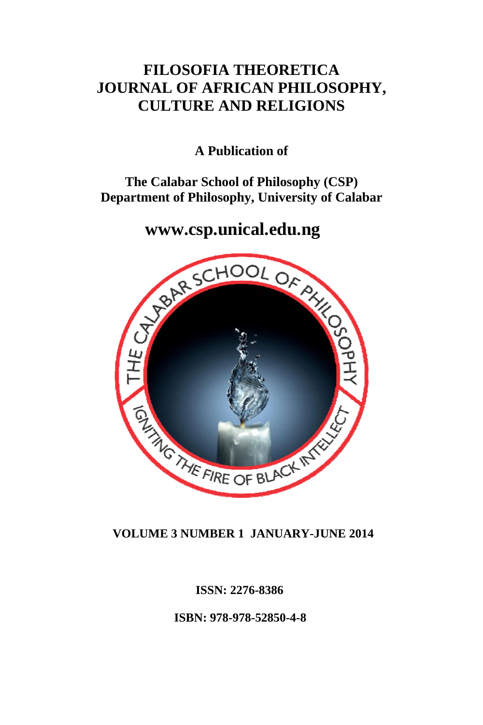# **FILOSOFIA THEORETICA JOURNAL OF AFRICAN PHILOSOPHY, CULTURE AND RELIGIONS**

# **A Publication of**

## **The Calabar School of Philosophy (CSP) Department of Philosophy, University of Calabar**



## **VOLUME 3 NUMBER 1 JANUARY-JUNE 2014**

 **ISSN: 2276-8386** 

 **ISBN: 978-978-52850-4-8**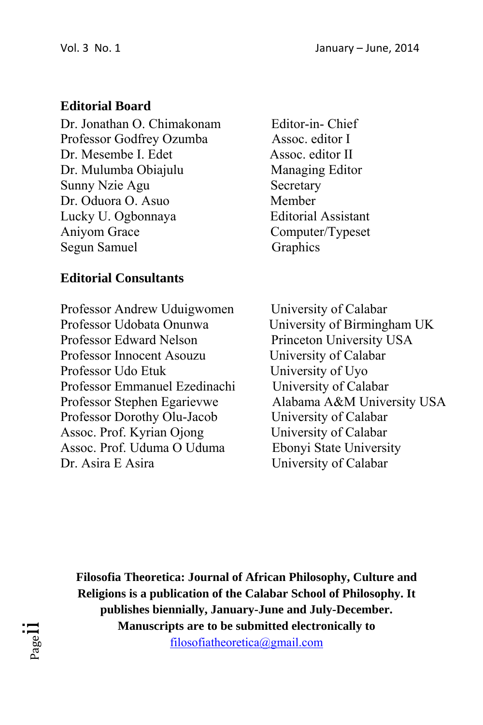# **Editorial Board**

Dr. Jonathan O. Chimakonam Editor-in- Chief Professor Godfrey Ozumba Assoc. editor I Dr. Mesembe I. Edet Assoc. editor II Dr. Mulumba Obiajulu Managing Editor Sunny Nzie Agu Secretary Dr. Oduora O. Asuo Member Lucky U. Ogbonnaya Editorial Assistant Aniyom Grace Computer/Typeset Segun Samuel Graphics

# **Editorial Consultants**

Professor Andrew Uduigwomen University of Calabar Professor Udobata Onunwa<br>
University of Birmingham UK Professor Edward Nelson Princeton University USA Professor Innocent Asouzu University of Calabar Professor Udo Etuk University of Uyo Professor Emmanuel Ezedinachi University of Calabar Professor Stephen Egarievwe Alabama A&M University USA Professor Dorothy Olu-Jacob University of Calabar Assoc. Prof. Kyrian Ojong University of Calabar Assoc. Prof. Uduma O Uduma Ebonyi State University Dr. Asira E Asira University of Calabar

**Filosofia Theoretica: Journal of African Philosophy, Culture and Religions is a publication of the Calabar School of Philosophy. It publishes biennially, January-June and July-December. Manuscripts are to be submitted electronically to** filosofiatheoretica@gmail.com

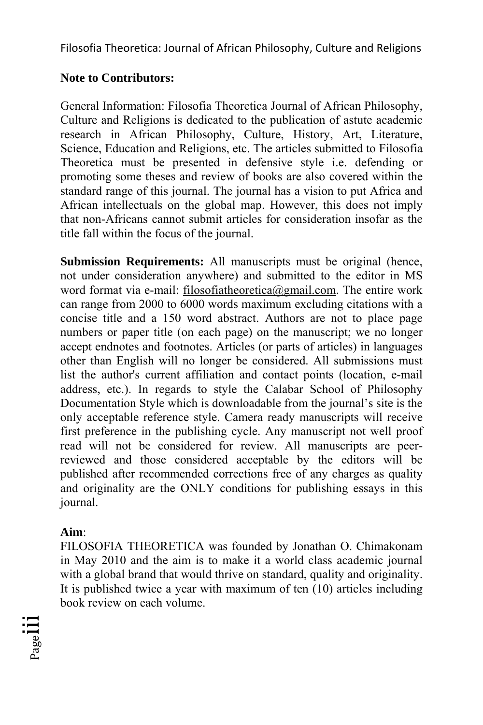## **Note to Contributors:**

General Information: Filosofia Theoretica Journal of African Philosophy, Culture and Religions is dedicated to the publication of astute academic research in African Philosophy, Culture, History, Art, Literature, Science, Education and Religions, etc. The articles submitted to Filosofia Theoretica must be presented in defensive style i.e. defending or promoting some theses and review of books are also covered within the standard range of this journal. The journal has a vision to put Africa and African intellectuals on the global map. However, this does not imply that non-Africans cannot submit articles for consideration insofar as the title fall within the focus of the journal.

**Submission Requirements:** All manuscripts must be original (hence, not under consideration anywhere) and submitted to the editor in MS word format via e-mail: filosofiatheoretica@gmail.com. The entire work can range from 2000 to 6000 words maximum excluding citations with a concise title and a 150 word abstract. Authors are not to place page numbers or paper title (on each page) on the manuscript; we no longer accept endnotes and footnotes. Articles (or parts of articles) in languages other than English will no longer be considered. All submissions must list the author's current affiliation and contact points (location, e-mail address, etc.). In regards to style the Calabar School of Philosophy Documentation Style which is downloadable from the journal's site is the only acceptable reference style. Camera ready manuscripts will receive first preference in the publishing cycle. Any manuscript not well proof read will not be considered for review. All manuscripts are peerreviewed and those considered acceptable by the editors will be published after recommended corrections free of any charges as quality and originality are the ONLY conditions for publishing essays in this journal.

## **Aim**:

FILOSOFIA THEORETICA was founded by Jonathan O. Chimakonam in May 2010 and the aim is to make it a world class academic journal with a global brand that would thrive on standard, quality and originality. It is published twice a year with maximum of ten (10) articles including book review on each volume.

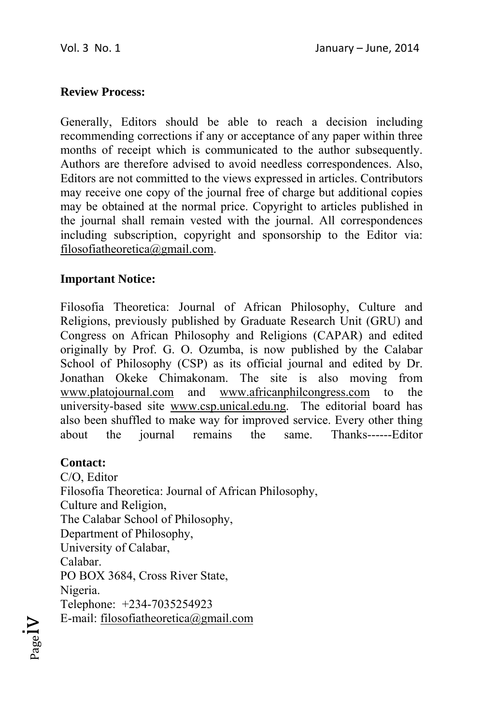### **Review Process:**

Generally, Editors should be able to reach a decision including recommending corrections if any or acceptance of any paper within three months of receipt which is communicated to the author subsequently. Authors are therefore advised to avoid needless correspondences. Also, Editors are not committed to the views expressed in articles. Contributors may receive one copy of the journal free of charge but additional copies may be obtained at the normal price. Copyright to articles published in the journal shall remain vested with the journal. All correspondences including subscription, copyright and sponsorship to the Editor via: filosofiatheoretica@gmail.com.

#### **Important Notice:**

Filosofia Theoretica: Journal of African Philosophy, Culture and Religions, previously published by Graduate Research Unit (GRU) and Congress on African Philosophy and Religions (CAPAR) and edited originally by Prof. G. O. Ozumba, is now published by the Calabar School of Philosophy (CSP) as its official journal and edited by Dr. Jonathan Okeke Chimakonam. The site is also moving from www.platojournal.com and www.africanphilcongress.com to the university-based site www.csp.unical.edu.ng. The editorial board has also been shuffled to make way for improved service. Every other thing about the journal remains the same. Thanks------Editor

#### **Contact:**

C/O, Editor Filosofia Theoretica: Journal of African Philosophy, Culture and Religion, The Calabar School of Philosophy, Department of Philosophy, University of Calabar, Calabar. PO BOX 3684, Cross River State, Nigeria. Telephone: +234-7035254923 E-mail: filosofiatheoretica@gmail.com

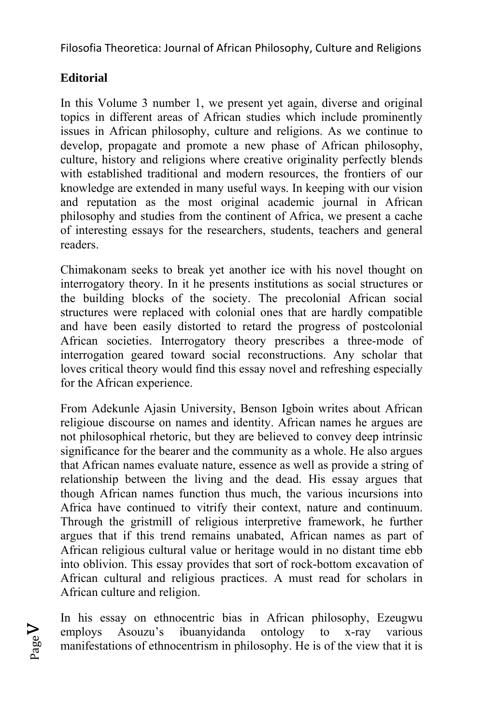# **Editorial**

Page  $\geq$ 

In this Volume 3 number 1, we present yet again, diverse and original topics in different areas of African studies which include prominently issues in African philosophy, culture and religions. As we continue to develop, propagate and promote a new phase of African philosophy, culture, history and religions where creative originality perfectly blends with established traditional and modern resources, the frontiers of our knowledge are extended in many useful ways. In keeping with our vision and reputation as the most original academic journal in African philosophy and studies from the continent of Africa, we present a cache of interesting essays for the researchers, students, teachers and general readers.

Chimakonam seeks to break yet another ice with his novel thought on interrogatory theory. In it he presents institutions as social structures or the building blocks of the society. The precolonial African social structures were replaced with colonial ones that are hardly compatible and have been easily distorted to retard the progress of postcolonial African societies. Interrogatory theory prescribes a three-mode of interrogation geared toward social reconstructions. Any scholar that loves critical theory would find this essay novel and refreshing especially for the African experience.

From Adekunle Ajasin University, Benson Igboin writes about African religioue discourse on names and identity. African names he argues are not philosophical rhetoric, but they are believed to convey deep intrinsic significance for the bearer and the community as a whole. He also argues that African names evaluate nature, essence as well as provide a string of relationship between the living and the dead. His essay argues that though African names function thus much, the various incursions into Africa have continued to vitrify their context, nature and continuum. Through the gristmill of religious interpretive framework, he further argues that if this trend remains unabated, African names as part of African religious cultural value or heritage would in no distant time ebb into oblivion. This essay provides that sort of rock-bottom excavation of African cultural and religious practices. A must read for scholars in African culture and religion.

In his essay on ethnocentric bias in African philosophy, Ezeugwu employs Asouzu's ibuanyidanda ontology to x-ray various manifestations of ethnocentrism in philosophy. He is of the view that it is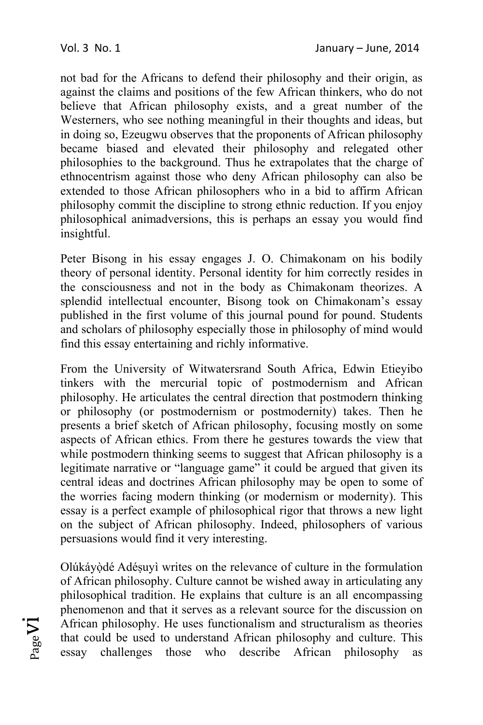not bad for the Africans to defend their philosophy and their origin, as against the claims and positions of the few African thinkers, who do not believe that African philosophy exists, and a great number of the Westerners, who see nothing meaningful in their thoughts and ideas, but in doing so, Ezeugwu observes that the proponents of African philosophy became biased and elevated their philosophy and relegated other philosophies to the background. Thus he extrapolates that the charge of ethnocentrism against those who deny African philosophy can also be extended to those African philosophers who in a bid to affirm African philosophy commit the discipline to strong ethnic reduction. If you enjoy philosophical animadversions, this is perhaps an essay you would find insightful.

Peter Bisong in his essay engages J. O. Chimakonam on his bodily theory of personal identity. Personal identity for him correctly resides in the consciousness and not in the body as Chimakonam theorizes. A splendid intellectual encounter, Bisong took on Chimakonam's essay published in the first volume of this journal pound for pound. Students and scholars of philosophy especially those in philosophy of mind would find this essay entertaining and richly informative.

From the University of Witwatersrand South Africa, Edwin Etieyibo tinkers with the mercurial topic of postmodernism and African philosophy. He articulates the central direction that postmodern thinking or philosophy (or postmodernism or postmodernity) takes. Then he presents a brief sketch of African philosophy, focusing mostly on some aspects of African ethics. From there he gestures towards the view that while postmodern thinking seems to suggest that African philosophy is a legitimate narrative or "language game" it could be argued that given its central ideas and doctrines African philosophy may be open to some of the worries facing modern thinking (or modernism or modernity). This essay is a perfect example of philosophical rigor that throws a new light on the subject of African philosophy. Indeed, philosophers of various persuasions would find it very interesting.

Olúkáyòdé Adésuyì writes on the relevance of culture in the formulation of African philosophy. Culture cannot be wished away in articulating any philosophical tradition. He explains that culture is an all encompassing phenomenon and that it serves as a relevant source for the discussion on African philosophy. He uses functionalism and structuralism as theories that could be used to understand African philosophy and culture. This essay challenges those who describe African philosophy as

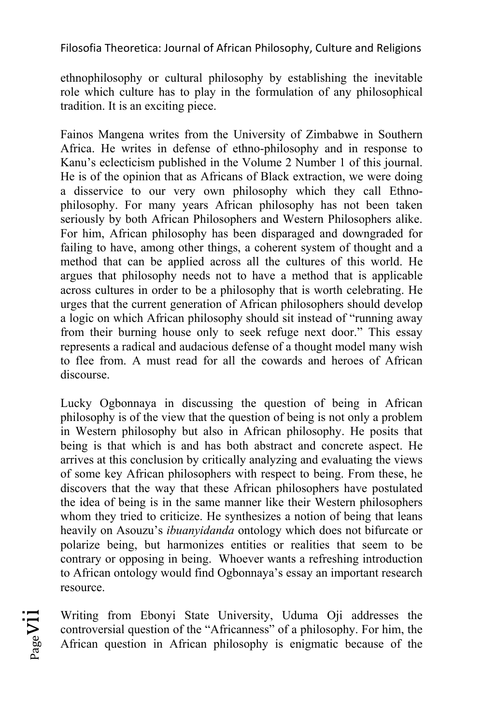ethnophilosophy or cultural philosophy by establishing the inevitable role which culture has to play in the formulation of any philosophical tradition. It is an exciting piece.

Fainos Mangena writes from the University of Zimbabwe in Southern Africa. He writes in defense of ethno-philosophy and in response to Kanu's eclecticism published in the Volume 2 Number 1 of this journal. He is of the opinion that as Africans of Black extraction, we were doing a disservice to our very own philosophy which they call Ethnophilosophy. For many years African philosophy has not been taken seriously by both African Philosophers and Western Philosophers alike. For him, African philosophy has been disparaged and downgraded for failing to have, among other things, a coherent system of thought and a method that can be applied across all the cultures of this world. He argues that philosophy needs not to have a method that is applicable across cultures in order to be a philosophy that is worth celebrating. He urges that the current generation of African philosophers should develop a logic on which African philosophy should sit instead of "running away from their burning house only to seek refuge next door." This essay represents a radical and audacious defense of a thought model many wish to flee from. A must read for all the cowards and heroes of African discourse.

Lucky Ogbonnaya in discussing the question of being in African philosophy is of the view that the question of being is not only a problem in Western philosophy but also in African philosophy. He posits that being is that which is and has both abstract and concrete aspect. He arrives at this conclusion by critically analyzing and evaluating the views of some key African philosophers with respect to being. From these, he discovers that the way that these African philosophers have postulated the idea of being is in the same manner like their Western philosophers whom they tried to criticize. He synthesizes a notion of being that leans heavily on Asouzu's *ibuanyidanda* ontology which does not bifurcate or polarize being, but harmonizes entities or realities that seem to be contrary or opposing in being. Whoever wants a refreshing introduction to African ontology would find Ogbonnaya's essay an important research resource.

Writing from Ebonyi State University, Uduma Oji addresses the controversial question of the "Africanness" of a philosophy. For him, the African question in African philosophy is enigmatic because of the

Pagevii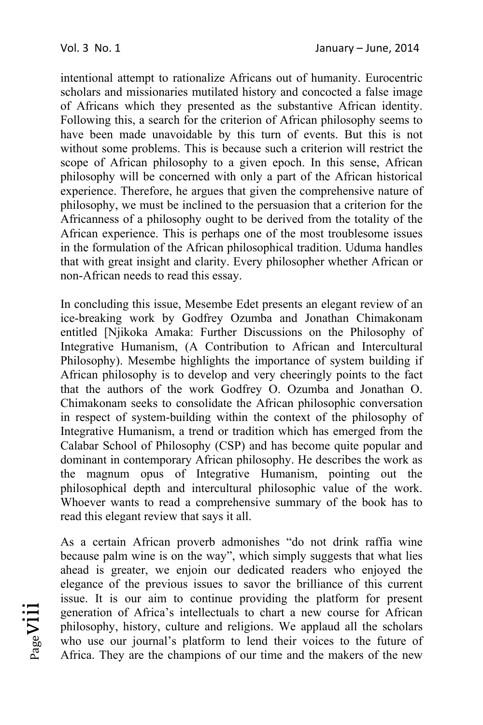intentional attempt to rationalize Africans out of humanity. Eurocentric scholars and missionaries mutilated history and concocted a false image of Africans which they presented as the substantive African identity. Following this, a search for the criterion of African philosophy seems to have been made unavoidable by this turn of events. But this is not without some problems. This is because such a criterion will restrict the scope of African philosophy to a given epoch. In this sense, African philosophy will be concerned with only a part of the African historical experience. Therefore, he argues that given the comprehensive nature of philosophy, we must be inclined to the persuasion that a criterion for the Africanness of a philosophy ought to be derived from the totality of the African experience. This is perhaps one of the most troublesome issues in the formulation of the African philosophical tradition. Uduma handles that with great insight and clarity. Every philosopher whether African or non-African needs to read this essay.

In concluding this issue, Mesembe Edet presents an elegant review of an ice-breaking work by Godfrey Ozumba and Jonathan Chimakonam entitled [Njikoka Amaka: Further Discussions on the Philosophy of Integrative Humanism, (A Contribution to African and Intercultural Philosophy). Mesembe highlights the importance of system building if African philosophy is to develop and very cheeringly points to the fact that the authors of the work Godfrey O. Ozumba and Jonathan O. Chimakonam seeks to consolidate the African philosophic conversation in respect of system-building within the context of the philosophy of Integrative Humanism, a trend or tradition which has emerged from the Calabar School of Philosophy (CSP) and has become quite popular and dominant in contemporary African philosophy. He describes the work as the magnum opus of Integrative Humanism, pointing out the philosophical depth and intercultural philosophic value of the work. Whoever wants to read a comprehensive summary of the book has to read this elegant review that says it all.

As a certain African proverb admonishes "do not drink raffia wine because palm wine is on the way", which simply suggests that what lies ahead is greater, we enjoin our dedicated readers who enjoyed the elegance of the previous issues to savor the brilliance of this current issue. It is our aim to continue providing the platform for present generation of Africa's intellectuals to chart a new course for African philosophy, history, culture and religions. We applaud all the scholars who use our journal's platform to lend their voices to the future of Africa. They are the champions of our time and the makers of the new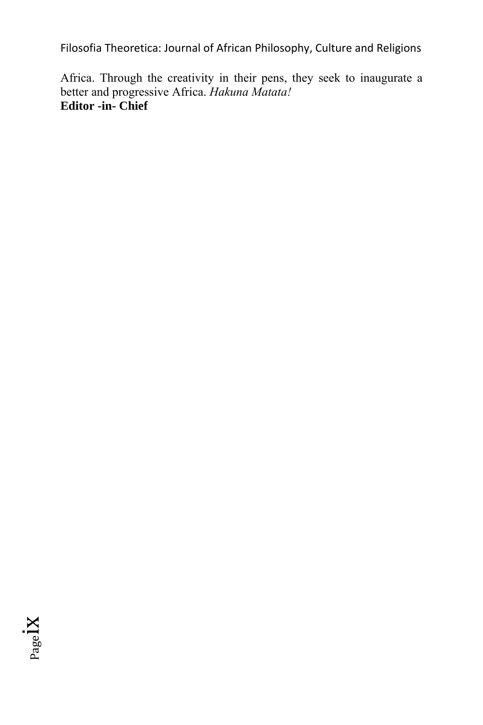Africa. Through the creativity in their pens, they seek to inaugurate a better and progressive Africa. *Hakuna Matata!*  **Editor -in- Chief** 

Pageix